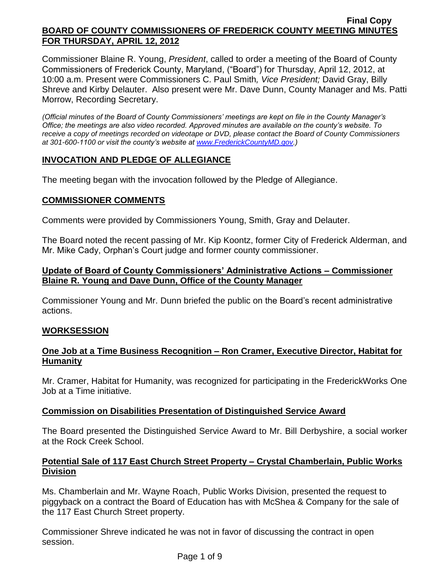Commissioner Blaine R. Young, *President*, called to order a meeting of the Board of County Commissioners of Frederick County, Maryland, ("Board") for Thursday, April 12, 2012, at 10:00 a.m. Present were Commissioners C. Paul Smith*, Vice President;* David Gray, Billy Shreve and Kirby Delauter. Also present were Mr. Dave Dunn, County Manager and Ms. Patti Morrow, Recording Secretary.

*(Official minutes of the Board of County Commissioners' meetings are kept on file in the County Manager's Office; the meetings are also video recorded. Approved minutes are available on the county's website. To receive a copy of meetings recorded on videotape or DVD, please contact the Board of County Commissioners at 301-600-1100 or visit the county's website at [www.FrederickCountyMD.gov.](http://www.frederickcountymd.gov/))*

# **INVOCATION AND PLEDGE OF ALLEGIANCE**

The meeting began with the invocation followed by the Pledge of Allegiance.

# **COMMISSIONER COMMENTS**

Comments were provided by Commissioners Young, Smith, Gray and Delauter.

The Board noted the recent passing of Mr. Kip Koontz, former City of Frederick Alderman, and Mr. Mike Cady, Orphan's Court judge and former county commissioner.

# **Update of Board of County Commissioners' Administrative Actions – Commissioner Blaine R. Young and Dave Dunn, Office of the County Manager**

Commissioner Young and Mr. Dunn briefed the public on the Board's recent administrative actions.

# **WORKSESSION**

# **One Job at a Time Business Recognition – Ron Cramer, Executive Director, Habitat for Humanity**

Mr. Cramer, Habitat for Humanity, was recognized for participating in the FrederickWorks One Job at a Time initiative.

# **Commission on Disabilities Presentation of Distinguished Service Award**

The Board presented the Distinguished Service Award to Mr. Bill Derbyshire, a social worker at the Rock Creek School.

# **Potential Sale of 117 East Church Street Property – Crystal Chamberlain, Public Works Division**

Ms. Chamberlain and Mr. Wayne Roach, Public Works Division, presented the request to piggyback on a contract the Board of Education has with McShea & Company for the sale of the 117 East Church Street property.

Commissioner Shreve indicated he was not in favor of discussing the contract in open session.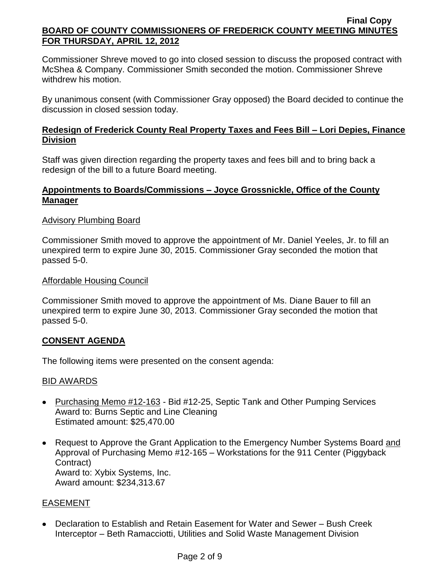Commissioner Shreve moved to go into closed session to discuss the proposed contract with McShea & Company. Commissioner Smith seconded the motion. Commissioner Shreve withdrew his motion.

By unanimous consent (with Commissioner Gray opposed) the Board decided to continue the discussion in closed session today.

# **Redesign of Frederick County Real Property Taxes and Fees Bill – Lori Depies, Finance Division**

Staff was given direction regarding the property taxes and fees bill and to bring back a redesign of the bill to a future Board meeting.

# **Appointments to Boards/Commissions – Joyce Grossnickle, Office of the County Manager**

# Advisory Plumbing Board

Commissioner Smith moved to approve the appointment of Mr. Daniel Yeeles, Jr. to fill an unexpired term to expire June 30, 2015. Commissioner Gray seconded the motion that passed 5-0.

# Affordable Housing Council

Commissioner Smith moved to approve the appointment of Ms. Diane Bauer to fill an unexpired term to expire June 30, 2013. Commissioner Gray seconded the motion that passed 5-0.

# **CONSENT AGENDA**

The following items were presented on the consent agenda:

# BID AWARDS

- Purchasing Memo #12-163 Bid #12-25, Septic Tank and Other Pumping Services Award to: Burns Septic and Line Cleaning Estimated amount: \$25,470.00
- Request to Approve the Grant Application to the Emergency Number Systems Board and Approval of Purchasing Memo #12-165 – Workstations for the 911 Center (Piggyback Contract) Award to: Xybix Systems, Inc. Award amount: \$234,313.67

# EASEMENT

Declaration to Establish and Retain Easement for Water and Sewer – Bush Creek Interceptor – Beth Ramacciotti, Utilities and Solid Waste Management Division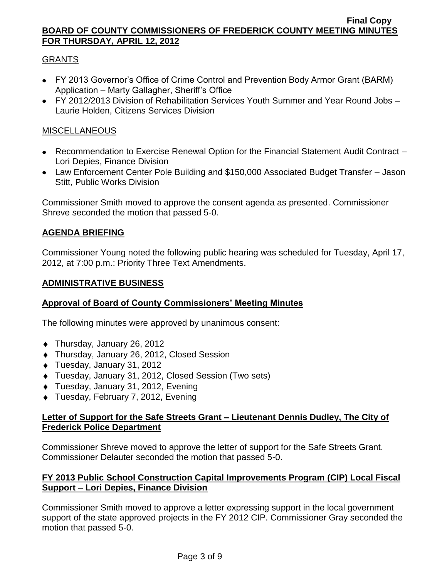# GRANTS

- FY 2013 Governor's Office of Crime Control and Prevention Body Armor Grant (BARM) Application – Marty Gallagher, Sheriff's Office
- FY 2012/2013 Division of Rehabilitation Services Youth Summer and Year Round Jobs Laurie Holden, Citizens Services Division

# MISCELLANEOUS

- Recommendation to Exercise Renewal Option for the Financial Statement Audit Contract Lori Depies, Finance Division
- Law Enforcement Center Pole Building and \$150,000 Associated Budget Transfer Jason Stitt, Public Works Division

Commissioner Smith moved to approve the consent agenda as presented. Commissioner Shreve seconded the motion that passed 5-0.

# **AGENDA BRIEFING**

Commissioner Young noted the following public hearing was scheduled for Tuesday, April 17, 2012, at 7:00 p.m.: Priority Three Text Amendments.

# **ADMINISTRATIVE BUSINESS**

# **Approval of Board of County Commissioners' Meeting Minutes**

The following minutes were approved by unanimous consent:

- ◆ Thursday, January 26, 2012
- ◆ Thursday, January 26, 2012, Closed Session
- Tuesday, January 31, 2012
- Tuesday, January 31, 2012, Closed Session (Two sets)
- ◆ Tuesday, January 31, 2012, Evening
- ◆ Tuesday, February 7, 2012, Evening

# **Letter of Support for the Safe Streets Grant – Lieutenant Dennis Dudley, The City of Frederick Police Department**

Commissioner Shreve moved to approve the letter of support for the Safe Streets Grant. Commissioner Delauter seconded the motion that passed 5-0.

# **FY 2013 Public School Construction Capital Improvements Program (CIP) Local Fiscal Support – Lori Depies, Finance Division**

Commissioner Smith moved to approve a letter expressing support in the local government support of the state approved projects in the FY 2012 CIP. Commissioner Gray seconded the motion that passed 5-0.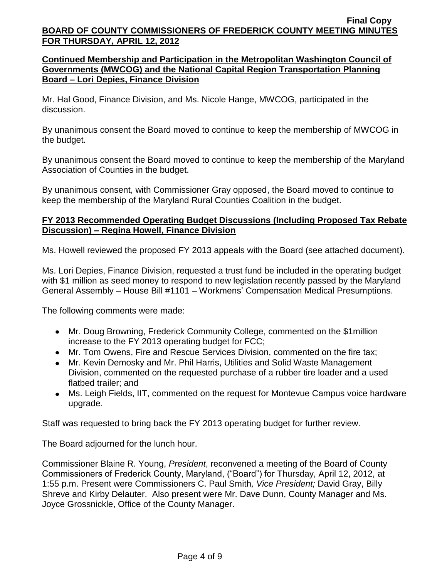# **Continued Membership and Participation in the Metropolitan Washington Council of Governments (MWCOG) and the National Capital Region Transportation Planning Board – Lori Depies, Finance Division**

Mr. Hal Good, Finance Division, and Ms. Nicole Hange, MWCOG, participated in the discussion.

By unanimous consent the Board moved to continue to keep the membership of MWCOG in the budget.

By unanimous consent the Board moved to continue to keep the membership of the Maryland Association of Counties in the budget.

By unanimous consent, with Commissioner Gray opposed, the Board moved to continue to keep the membership of the Maryland Rural Counties Coalition in the budget.

# **FY 2013 Recommended Operating Budget Discussions (Including Proposed Tax Rebate Discussion) – Regina Howell, Finance Division**

Ms. Howell reviewed the proposed FY 2013 appeals with the Board (see attached document).

Ms. Lori Depies, Finance Division, requested a trust fund be included in the operating budget with \$1 million as seed money to respond to new legislation recently passed by the Maryland General Assembly – House Bill #1101 – Workmens' Compensation Medical Presumptions.

The following comments were made:

- Mr. Doug Browning, Frederick Community College, commented on the \$1million increase to the FY 2013 operating budget for FCC;
- Mr. Tom Owens, Fire and Rescue Services Division, commented on the fire tax;
- Mr. Kevin Demosky and Mr. Phil Harris, Utilities and Solid Waste Management Division, commented on the requested purchase of a rubber tire loader and a used flatbed trailer; and
- Ms. Leigh Fields, IIT, commented on the request for Montevue Campus voice hardware upgrade.

Staff was requested to bring back the FY 2013 operating budget for further review.

The Board adjourned for the lunch hour.

Commissioner Blaine R. Young, *President*, reconvened a meeting of the Board of County Commissioners of Frederick County, Maryland, ("Board") for Thursday, April 12, 2012, at 1:55 p.m. Present were Commissioners C. Paul Smith*, Vice President;* David Gray, Billy Shreve and Kirby Delauter. Also present were Mr. Dave Dunn, County Manager and Ms. Joyce Grossnickle, Office of the County Manager.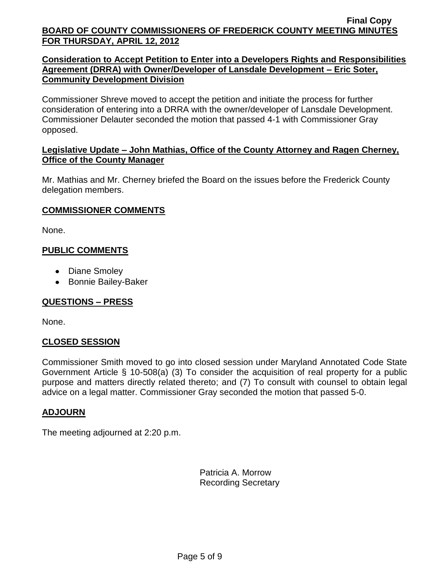# **Consideration to Accept Petition to Enter into a Developers Rights and Responsibilities Agreement (DRRA) with Owner/Developer of Lansdale Development – Eric Soter, Community Development Division**

Commissioner Shreve moved to accept the petition and initiate the process for further consideration of entering into a DRRA with the owner/developer of Lansdale Development. Commissioner Delauter seconded the motion that passed 4-1 with Commissioner Gray opposed.

# **Legislative Update – John Mathias, Office of the County Attorney and Ragen Cherney, Office of the County Manager**

Mr. Mathias and Mr. Cherney briefed the Board on the issues before the Frederick County delegation members.

# **COMMISSIONER COMMENTS**

None.

# **PUBLIC COMMENTS**

- Diane Smoley
- Bonnie Bailey-Baker

# **QUESTIONS – PRESS**

None.

# **CLOSED SESSION**

Commissioner Smith moved to go into closed session under Maryland Annotated Code State Government Article § 10-508(a) (3) To consider the acquisition of real property for a public purpose and matters directly related thereto; and (7) To consult with counsel to obtain legal advice on a legal matter. Commissioner Gray seconded the motion that passed 5-0.

# **ADJOURN**

The meeting adjourned at 2:20 p.m.

Patricia A. Morrow Recording Secretary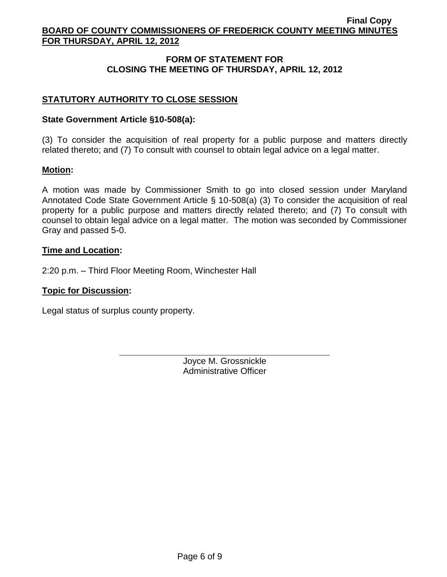# **FORM OF STATEMENT FOR CLOSING THE MEETING OF THURSDAY, APRIL 12, 2012**

# **STATUTORY AUTHORITY TO CLOSE SESSION**

### **State Government Article §10-508(a):**

(3) To consider the acquisition of real property for a public purpose and matters directly related thereto; and (7) To consult with counsel to obtain legal advice on a legal matter.

#### **Motion:**

A motion was made by Commissioner Smith to go into closed session under Maryland Annotated Code State Government Article § 10-508(a) (3) To consider the acquisition of real property for a public purpose and matters directly related thereto; and (7) To consult with counsel to obtain legal advice on a legal matter. The motion was seconded by Commissioner Gray and passed 5-0.

### **Time and Location:**

2:20 p.m. – Third Floor Meeting Room, Winchester Hall

### **Topic for Discussion:**

Legal status of surplus county property.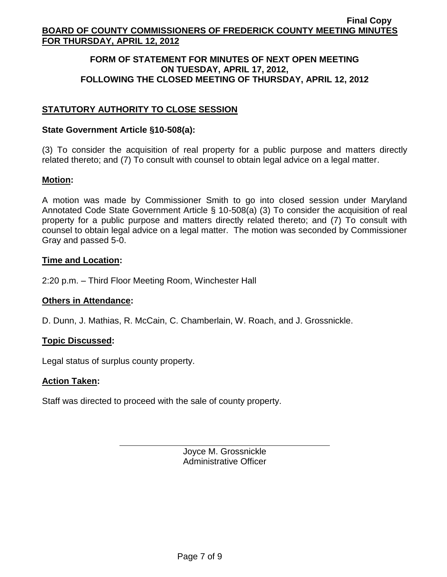### **FORM OF STATEMENT FOR MINUTES OF NEXT OPEN MEETING ON TUESDAY, APRIL 17, 2012, FOLLOWING THE CLOSED MEETING OF THURSDAY, APRIL 12, 2012**

# **STATUTORY AUTHORITY TO CLOSE SESSION**

### **State Government Article §10-508(a):**

(3) To consider the acquisition of real property for a public purpose and matters directly related thereto; and (7) To consult with counsel to obtain legal advice on a legal matter.

# **Motion:**

A motion was made by Commissioner Smith to go into closed session under Maryland Annotated Code State Government Article § 10-508(a) (3) To consider the acquisition of real property for a public purpose and matters directly related thereto; and (7) To consult with counsel to obtain legal advice on a legal matter. The motion was seconded by Commissioner Gray and passed 5-0.

### **Time and Location:**

2:20 p.m. – Third Floor Meeting Room, Winchester Hall

#### **Others in Attendance:**

D. Dunn, J. Mathias, R. McCain, C. Chamberlain, W. Roach, and J. Grossnickle.

# **Topic Discussed:**

Legal status of surplus county property.

#### **Action Taken:**

Staff was directed to proceed with the sale of county property.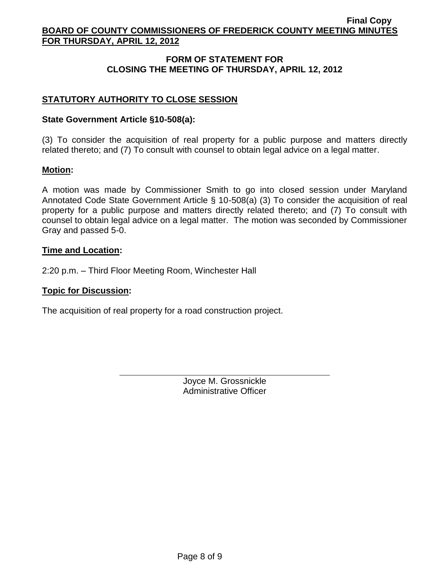# **FORM OF STATEMENT FOR CLOSING THE MEETING OF THURSDAY, APRIL 12, 2012**

# **STATUTORY AUTHORITY TO CLOSE SESSION**

### **State Government Article §10-508(a):**

(3) To consider the acquisition of real property for a public purpose and matters directly related thereto; and (7) To consult with counsel to obtain legal advice on a legal matter.

### **Motion:**

A motion was made by Commissioner Smith to go into closed session under Maryland Annotated Code State Government Article § 10-508(a) (3) To consider the acquisition of real property for a public purpose and matters directly related thereto; and (7) To consult with counsel to obtain legal advice on a legal matter. The motion was seconded by Commissioner Gray and passed 5-0.

### **Time and Location:**

2:20 p.m. – Third Floor Meeting Room, Winchester Hall

### **Topic for Discussion:**

The acquisition of real property for a road construction project.